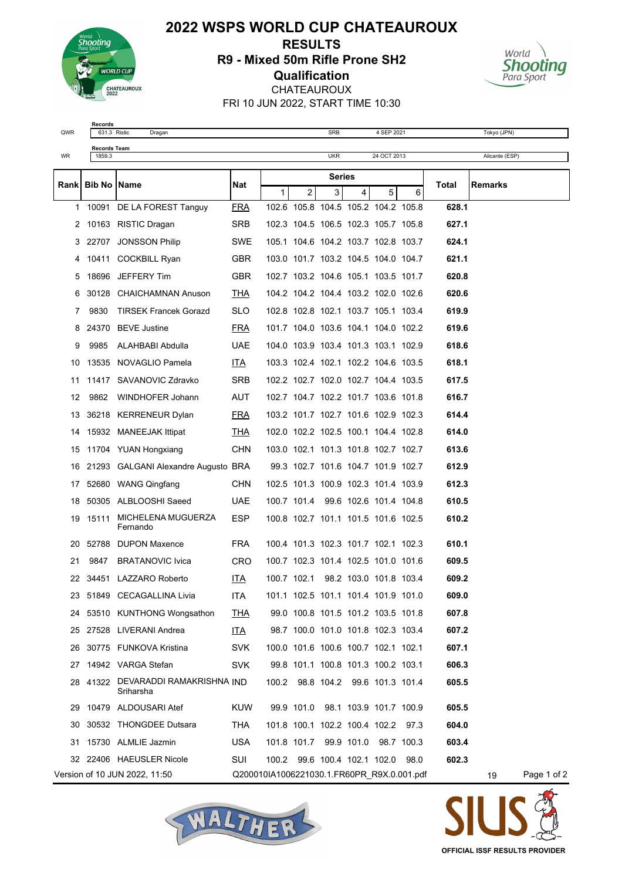

## **2022 WSPS WORLD CUP CHATEAUROUX RESULTS R9 - Mixed 50m Rifle Prone SH2 Qualification** CHATEAUROUX FRI 10 JUN 2022, START TIME 10:30



**Records**<br>631.3 Ristic

**Records Team**

QWR 631.3 Ristic Dragan SRB 4 SEP 2021 Tokyo (JPN)

| WR  | 1859.3               |                                              |            |               |             | <b>UKR</b> |                                     | 24 OCT 2013 |                                            |       | Alicante (ESP) |             |
|-----|----------------------|----------------------------------------------|------------|---------------|-------------|------------|-------------------------------------|-------------|--------------------------------------------|-------|----------------|-------------|
|     | Rank   Bib No   Name |                                              |            | <b>Series</b> |             |            |                                     |             |                                            |       |                |             |
|     |                      |                                              | Nat        | 1             | 2           | 3          | $\overline{4}$                      | 5           | 6                                          | Total | Remarks        |             |
|     |                      | 1 10091 DE LA FOREST Tanguy                  | <u>FRA</u> |               |             |            | 102.6 105.8 104.5 105.2 104.2 105.8 |             |                                            | 628.1 |                |             |
| 2   |                      | 10163 RISTIC Dragan                          | <b>SRB</b> |               |             |            | 102.3 104.5 106.5 102.3 105.7 105.8 |             |                                            | 627.1 |                |             |
| 3   |                      | 22707 JONSSON Philip                         | <b>SWE</b> |               |             |            | 105.1 104.6 104.2 103.7 102.8 103.7 |             |                                            | 624.1 |                |             |
| 4   |                      | 10411 COCKBILL Ryan                          | <b>GBR</b> |               |             |            | 103.0 101.7 103.2 104.5 104.0 104.7 |             |                                            | 621.1 |                |             |
| 5   |                      | 18696 JEFFERY Tim                            | <b>GBR</b> |               |             |            | 102.7 103.2 104.6 105.1 103.5 101.7 |             |                                            | 620.8 |                |             |
| 6   |                      | 30128 CHAICHAMNAN Anuson                     | <u>THA</u> |               |             |            | 104.2 104.2 104.4 103.2 102.0 102.6 |             |                                            | 620.6 |                |             |
| 7   | 9830                 | <b>TIRSEK Francek Gorazd</b>                 | SLO.       |               |             |            | 102.8 102.8 102.1 103.7 105.1 103.4 |             |                                            | 619.9 |                |             |
| 8   |                      | 24370 BEVE Justine                           | <b>FRA</b> |               |             |            | 101.7 104.0 103.6 104.1 104.0 102.2 |             |                                            | 619.6 |                |             |
| 9   | 9985                 | ALAHBABI Abdulla                             | <b>UAE</b> |               |             |            | 104.0 103.9 103.4 101.3 103.1 102.9 |             |                                            | 618.6 |                |             |
| 10  |                      | 13535 NOVAGLIO Pamela                        | <u>ITA</u> |               |             |            | 103.3 102.4 102.1 102.2 104.6 103.5 |             |                                            | 618.1 |                |             |
| 11  |                      | 11417 SAVANOVIC Zdravko                      | <b>SRB</b> |               |             |            | 102.2 102.7 102.0 102.7 104.4 103.5 |             |                                            | 617.5 |                |             |
| 12  |                      | 9862 WINDHOFER Johann                        | AUT        |               |             |            | 102.7 104.7 102.2 101.7 103.6 101.8 |             |                                            | 616.7 |                |             |
| 13  |                      | 36218 KERRENEUR Dylan                        | <b>FRA</b> |               |             |            | 103.2 101.7 102.7 101.6 102.9 102.3 |             |                                            | 614.4 |                |             |
| 14  |                      | 15932 MANEEJAK Ittipat                       | <b>THA</b> |               |             |            | 102.0 102.2 102.5 100.1 104.4 102.8 |             |                                            | 614.0 |                |             |
| 15  |                      | 11704 YUAN Hongxiang                         | <b>CHN</b> |               |             |            | 103.0 102.1 101.3 101.8 102.7 102.7 |             |                                            | 613.6 |                |             |
| 16  |                      | 21293 GALGANI Alexandre Augusto BRA          |            |               |             |            | 99.3 102.7 101.6 104.7 101.9 102.7  |             |                                            | 612.9 |                |             |
| 17  |                      | 52680 WANG Qingfang                          | <b>CHN</b> |               |             |            | 102.5 101.3 100.9 102.3 101.4 103.9 |             |                                            | 612.3 |                |             |
| 18  |                      | 50305 ALBLOOSHI Saeed                        | <b>UAE</b> |               |             |            | 100.7 101.4 99.6 102.6 101.4 104.8  |             |                                            | 610.5 |                |             |
| 19  | 15111                | MICHELENA MUGUERZA<br>Fernando               | <b>ESP</b> |               |             |            | 100.8 102.7 101.1 101.5 101.6 102.5 |             |                                            | 610.2 |                |             |
| 20  |                      | 52788 DUPON Maxence                          | <b>FRA</b> |               |             |            | 100.4 101.3 102.3 101.7 102.1 102.3 |             |                                            | 610.1 |                |             |
| 21  | 9847                 | <b>BRATANOVIC Ivica</b>                      | CRO        |               |             |            | 100.7 102.3 101.4 102.5 101.0 101.6 |             |                                            | 609.5 |                |             |
| 22  |                      | 34451 LAZZARO Roberto                        | <u>ITA</u> |               | 100.7 102.1 |            | 98.2 103.0 101.8 103.4              |             |                                            | 609.2 |                |             |
| 23. |                      | 51849 CECAGALLINA Livia                      | ITA.       |               |             |            | 101.1 102.5 101.1 101.4 101.9 101.0 |             |                                            | 609.0 |                |             |
|     |                      | 24 53510 KUNTHONG Wongsathon                 | <u>THA</u> |               |             |            | 99.0 100.8 101.5 101.2 103.5 101.8  |             |                                            | 607.8 |                |             |
|     |                      | 25 27528 LIVERANI Andrea                     | <u>ITA</u> |               |             |            | 98.7 100.0 101.0 101.8 102.3 103.4  |             |                                            | 607.2 |                |             |
| 26  |                      | 30775 FUNKOVA Kristina                       | SVK.       |               |             |            | 100.0 101.6 100.6 100.7 102.1 102.1 |             |                                            | 607.1 |                |             |
| 27  |                      | 14942 VARGA Stefan                           | <b>SVK</b> |               |             |            | 99.8 101.1 100.8 101.3 100.2 103.1  |             |                                            | 606.3 |                |             |
| 28. |                      | 41322 DEVARADDI RAMAKRISHNA IND<br>Sriharsha |            |               |             |            | 100.2 98.8 104.2 99.6 101.3 101.4   |             |                                            | 605.5 |                |             |
| 29  |                      | 10479 ALDOUSARI Atef                         | KUW        |               |             |            | 99.9 101.0 98.1 103.9 101.7 100.9   |             |                                            | 605.5 |                |             |
| 30  |                      | 30532 THONGDEE Dutsara                       | THA        |               |             |            | 101.8 100.1 102.2 100.4 102.2 97.3  |             |                                            | 604.0 |                |             |
| 31  |                      | 15730 ALMLIE Jazmin                          | <b>USA</b> |               |             |            | 101.8 101.7 99.9 101.0 98.7 100.3   |             |                                            | 603.4 |                |             |
| 32  |                      | 22406 HAEUSLER Nicole                        | <b>SUI</b> |               |             |            | 100.2 99.6 100.4 102.1 102.0        |             | 98.0                                       | 602.3 |                |             |
|     |                      | Version of 10 JUN 2022, 11:50                |            |               |             |            |                                     |             | Q200010IA1006221030.1.FR60PR_R9X.0.001.pdf |       | 19             | Page 1 of 2 |